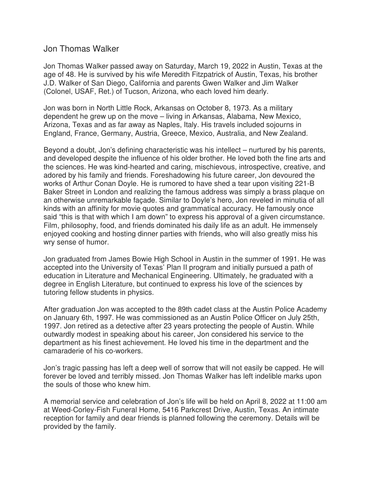## Jon Thomas Walker

Jon Thomas Walker passed away on Saturday, March 19, 2022 in Austin, Texas at the age of 48. He is survived by his wife Meredith Fitzpatrick of Austin, Texas, his brother J.D. Walker of San Diego, California and parents Gwen Walker and Jim Walker (Colonel, USAF, Ret.) of Tucson, Arizona, who each loved him dearly.

Jon was born in North Little Rock, Arkansas on October 8, 1973. As a military dependent he grew up on the move – living in Arkansas, Alabama, New Mexico, Arizona, Texas and as far away as Naples, Italy. His travels included sojourns in England, France, Germany, Austria, Greece, Mexico, Australia, and New Zealand.

Beyond a doubt, Jon's defining characteristic was his intellect – nurtured by his parents, and developed despite the influence of his older brother. He loved both the fine arts and the sciences. He was kind-hearted and caring, mischievous, introspective, creative, and adored by his family and friends. Foreshadowing his future career, Jon devoured the works of Arthur Conan Doyle. He is rumored to have shed a tear upon visiting 221-B Baker Street in London and realizing the famous address was simply a brass plaque on an otherwise unremarkable façade. Similar to Doyle's hero, Jon reveled in minutia of all kinds with an affinity for movie quotes and grammatical accuracy. He famously once said "this is that with which I am down" to express his approval of a given circumstance. Film, philosophy, food, and friends dominated his daily life as an adult. He immensely enjoyed cooking and hosting dinner parties with friends, who will also greatly miss his wry sense of humor.

Jon graduated from James Bowie High School in Austin in the summer of 1991. He was accepted into the University of Texas' Plan II program and initially pursued a path of education in Literature and Mechanical Engineering. Ultimately, he graduated with a degree in English Literature, but continued to express his love of the sciences by tutoring fellow students in physics.

After graduation Jon was accepted to the 89th cadet class at the Austin Police Academy on January 6th, 1997. He was commissioned as an Austin Police Officer on July 25th, 1997. Jon retired as a detective after 23 years protecting the people of Austin. While outwardly modest in speaking about his career, Jon considered his service to the department as his finest achievement. He loved his time in the department and the camaraderie of his co-workers.

Jon's tragic passing has left a deep well of sorrow that will not easily be capped. He will forever be loved and terribly missed. Jon Thomas Walker has left indelible marks upon the souls of those who knew him.

A memorial service and celebration of Jon's life will be held on April 8, 2022 at 11:00 am at Weed-Corley-Fish Funeral Home, 5416 Parkcrest Drive, Austin, Texas. An intimate reception for family and dear friends is planned following the ceremony. Details will be provided by the family.